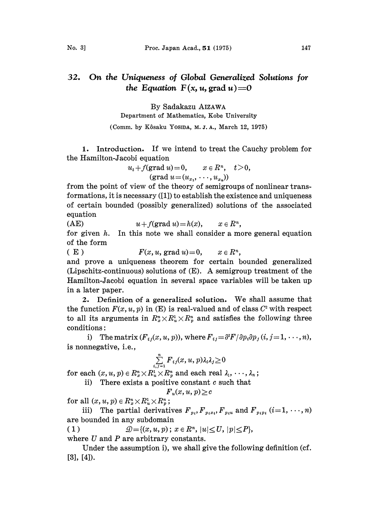## On the Uniqueness of Global Generalized Solutions for 32. the Equation  $F(x, u, grad u)=0$

By Sadakazu AIZAWA Department of Mathematics, Kobe University

(Comm. by Kôsaku Yosina, M. J. A., March 12, 1975)

1. Introduction. If we intend to treat the Cauchy problem for the Hamilton-Jacobi equation

$$
u_t + f(\text{grad } u) = 0, \qquad x \in R^n, \quad t > 0,
$$
  

$$
(\text{grad } u = (u_{x_1}, \dots, u_{x_n}))
$$

from the point of view of the theory of semigroups of nonlinear transformations, it is necessary ([1]) to establish the existence and uniqueness of certain bounded (possibly generalized) solutions of the associated equation

(AE)  $u + f(\text{grad } u) = h(x), \quad x \in R^n,$ for given  $h$ . In this note we shall consider a more general equation of the form

( E )  $F(x, u, \text{grad } u) = 0, \quad x \in R^n,$ and prove a uniqueness theorem for certain bounded generalized (Lipschitz-continuous) solutions of (E). A semigroup treatment of the Hamilton-Jacobi equation in several space variables will be taken up in a later paper.

2. Definition of <sup>a</sup> generalized solution. We shall assume that the function  $F(x, u, p)$  in (E) is real-valued and of class  $C<sup>2</sup>$  with respect to all its arguments in  $R_x^n \times R_u^1 \times R_p^n$  and satisfies the following three conditions:

i) The matrix  $(F_{i,j}(x, u, p))$ , where  $F_{i,j} = \frac{\partial^2 F}{\partial p_i \partial p_j} (i, j = 1, \dots, n)$ , is nonnegative, i.e.,

$$
\sum_{i,j=1}^n F_{ij}(x,u,p)\lambda_i\lambda_j \geq 0
$$

for each  $(x, u, p) \in R_x^n \times R_u^1 \times R_y^n$  and each real  $\lambda_1, \dots, \lambda_n$ ;

ii) There exists a positive constant  $c$  such that

 $F_u(x, u, p) \geq c$ 

for all  $(x, u, p) \in R_x^n \times R_u^1 \times R_y^n$ ;

iii) The partial derivatives  $F_{p_i}, F_{p_i x_i}, F_{p_i u}$  and  $F_{p_i p_i}$  (i=1, ..., n) are bounded in any subdomain

( 1 )  $\mathcal{D} = \{(x, u, p); x \in R^n, |u| \leq U, |p| \leq P\},\$ where U and P are arbitrary constants.

Under the assumption i), we shall give the following definition (cf. [3], [4]).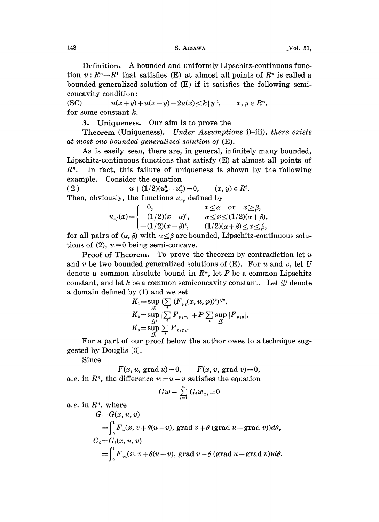Definition. A bounded and uniformly Lipschitz-continuous function  $u: R^n \to R^n$  that satisfies (E) at almost all points of  $R^n$  is called a bounded generalized solution of (E) if it satisfies the following semiconcavity condition:

(SC)  $u(x+y)+u(x-y)-2u(x)\leq k|y|^2$ ,  $x, y \in \mathbb{R}^n$ , for some constant  $k$ .

3. Uniqueness. Our aim is to prove the

Theorem (Uniqueness). Under Assumptions i)-iii), there exists at most one bounded generalized solution of (E).

As is easily seen, there are, in general, infinitely many bounded, Lipschitz-continuous functions that satisfy  $(E)$  at almost all points of  $R<sup>n</sup>$ . In fact, this failure of uniqueness is shown by the following example. Consider the equation

(2)  $u+(1/2)(u_x^2+u_y^2)=0, \quad (x, y) \in R^2.$ Then, obviously, the functions  $u_{\alpha\beta}$  defined by

|                                                                                                  | $x \leq \alpha$ or $x \geq \beta$ ,         |
|--------------------------------------------------------------------------------------------------|---------------------------------------------|
|                                                                                                  | $\alpha \leq x \leq (1/2)(\alpha + \beta),$ |
| $u_{\alpha\beta}(x) = \begin{cases} 0, \\ -(1/2)(x-\alpha)^2, \\ -(1/2)(x-\beta)^2, \end{cases}$ | $(1/2)(\alpha + \beta) \leq x \leq \beta$ , |

for all pairs of  $(\alpha, \beta)$  with  $\alpha \leq \beta$  are bounded, Lipschitz-continuous solutions of (2),  $u \equiv 0$  being semi-concave.

**Proof of Theorem.** To prove the theorem by contradiction let  $u$ and v be two bounded generalized solutions of  $(E)$ . For u and v, let U denote a common absolute bound in  $R<sup>n</sup>$ , let P be a common Lipschitz constant, and let k be a common semiconcavity constant. Let  $\mathcal D$  denote a domain defined by (1) and we set

$$
\begin{array}{l} K_1\hspace{-0.1cm}=\hspace{-0.1cm}\sup \limits_{\mathcal{D}}\hspace{-0.1cm}\big(\sum\limits_i\hspace{-0.1cm}\big(F_{p_i}(x,u,p)\big)^2)^{1/2},\\ K_2\hspace{-0.1cm}=\hspace{-0.1cm}\sup \limits_{\mathcal{D}}\hspace{-0.1cm}\big|\sum\limits_i\hspace{-0.1cm}F_{p_i x_i}\hspace{-0.1cm}\big| \hspace{-0.1cm}+\hspace{-0.1cm}P\sum\limits_i\hspace{-0.1cm}\sup \limits_{\mathcal{D}}\hspace{-0.1cm}\big|F_{p_i u}\hspace{-0.1cm}\big|,\\ K_3\hspace{-0.1cm}=\hspace{-0.1cm}\sup \limits_{\mathcal{D}}\hspace{-0.1cm}\sum\limits_i\hspace{-0.1cm}F_{p_i p_i}. \end{array}
$$

For a part of our proof below the author owes to a teehnique suggested by Douglis [3].

Since

 $F(x, u, \text{grad } u) = 0, \quad F(x, v, \text{grad } v) = 0,$ a.e. in  $\mathbb{R}^n$ , the difference  $w=u-v$  satisfies the equation

$$
Gw+\sum_{i=1}^n G_iw_{x_i}=0
$$

a.e. in  $R<sup>n</sup>$ , where

$$
G = G(x, u, v)
$$
  
=  $\int_0^1 F_u(x, v + \theta(u-v))$ , grad  $v + \theta$  (grad  $u$ -grad  $v$ )) $d\theta$ ,  

$$
G_i = G_i(x, u, v)
$$
  
=  $\int_0^1 F_{p_i}(x, v + \theta(u-v))$ , grad  $v + \theta$  (grad  $u$ -grad  $v$ )) $d\theta$ .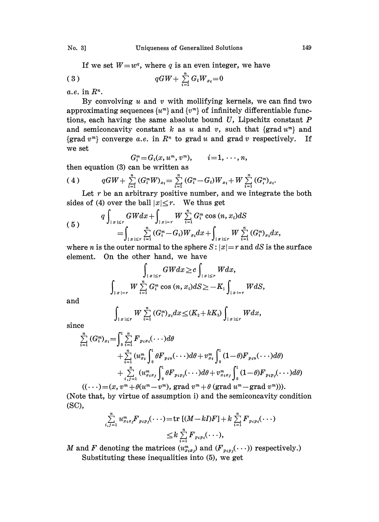If we set  $W=w^q$ , where q is an even integer, we have

$$
(3) \t\t qGW + \sum_{i=1}^{n} G_i W_{x_i} = 0
$$

a.e. in  $\mathbb{R}^n$ .

By convolving  $u$  and  $v$  with mollifying kernels, we can find two approximating sequences  $\{u^m\}$  and  $\{v^m\}$  of infinitely differentiable functions, each having the same absolute bound  $U$ , Lipschitz constant  $P$ and semiconcavity constant k as u and v, such that  $\{grad u^m\}$  and {grad  $v^m$ } converge a.e. in  $R^n$  to grad u and grad v respectively. If we set

$$
G_i^m = G_i(x, u^m, v^m), \qquad i = 1, \ldots, n,
$$

then equation (3) can be written as

$$
(4) \qquad qGW + \sum_{i=1}^{n} (G_i^m W)_{x_i} = \sum_{i=1}^{n} (G_i^m - G_i) W_{x_i} + W \sum_{i=1}^{n} (G_i^m)_{x_i}.
$$

Let  $r$  be an arbitrary positive number, and we integrate the both sides of (4) over the ball  $|x| \leq r$ . We thus get

$$
(5) \qquad \qquad q \int_{|x| \le r} GW dx + \int_{|x|=r} W \sum_{i=1}^{n} G_i^m \cos (n, x_i) dS
$$
\n
$$
= \int_{|x| \le r} \sum_{i=1}^{n} (G_i^m - G_i) W_{x_i} dx + \int_{|x| \le r} W \sum_{i=1}^{n} (G_i^m)_{x_i} dx,
$$

where *n* is the outer normal to the sphere  $S: |x|=r$  and dS is the surface element. On the other hand, we have

$$
\int_{|x| \le r} GWdx \ge c \int_{|x| \le r} Wdx,
$$
  

$$
\int_{|x| = r} W \sum_{i=1}^{n} G_i^m \cos{(n, x_i)} dS \ge -K_1 \int_{|x| = r} WdS,
$$

and

$$
\underset{x| \leq r}{W} \sum_{i=1}^{n} (G_i^m)_{x_i} dx \leq (K_2 + kK_3) \int_{\{|x| \leq r} W dx,
$$

since

$$
\sum_{i=1}^{n} (G_{i}^{m})_{x_{i}} = \int_{0}^{1} \sum_{i=1}^{n} F_{p_{i}x_{i}}(\cdots) d\theta \n+ \sum_{i=1}^{n} (u_{x_{i}}^{m} \int_{0}^{1} \theta F_{p_{i}u}(\cdots) d\theta + v_{x_{i}}^{m} \int_{0}^{1} (1-\theta) F_{p_{i}u}(\cdots) d\theta \n+ \sum_{i,j=1}^{n} (u_{x_{i}x_{j}}^{m} \int_{0}^{1} \theta F_{p_{i}p_{j}}(\cdots) d\theta + v_{x_{i}x_{j}}^{m} \int_{0}^{1} (1-\theta) F_{p_{i}p_{j}}(\cdots) d\theta \n((\cdots) = (x, v^{m} + \theta(u^{m} - v^{m}), \text{ grad } v^{m} + \theta (\text{grad } u^{m} - \text{grad } v^{m})).
$$

(Note that, by virtue of assumption i) and the semiconcavity condition (sc),

$$
\sum_{i,j=1}^{n} u_{x_ix_j}^m F_{p_ip_j}(\cdots) = \text{tr} \left[ (M - kI)F \right] + k \sum_{i=1}^{n} F_{p_ip_i}(\cdots) \leq k \sum_{i=1}^{n} F_{p_ip_i}(\cdots),
$$

M and F denoting the matrices  $(u_{x_ix_j}^m)$  and  $(F_{p_ip_j}(\cdots))$  respectively.) Substituting these inequalities into (5), we get